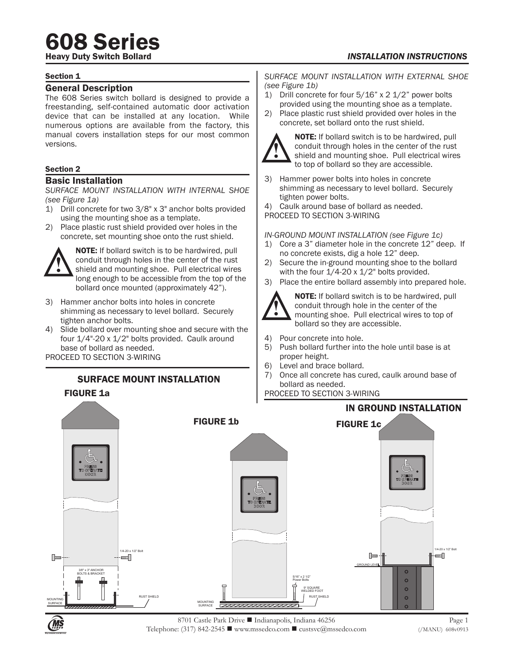# **608 Series**

**INSTALLATION INSTRUCTIONS** 

### Section 1

## General Description

The 608 Series switch bollard is designed to provide a freestanding, self-contained automatic door activation device that can be installed at any location. While numerous options are available from the factory, this manual covers installation steps for our most common versions.

# Section 2

### Basic Installation

*SURFACE MOUNT INSTALLATION WITH INTERNAL SHOE (see Figure 1a)*

- 1) Drill concrete for two 3/8" x 3" anchor bolts provided using the mounting shoe as a template.
- 2) Place plastic rust shield provided over holes in the concrete, set mounting shoe onto the rust shield.



NOTE: If bollard switch is to be hardwired, pull conduit through holes in the center of the rust shield and mounting shoe. Pull electrical wires long enough to be accessible from the top of the bollard once mounted (approximately 42").

- 3) Hammer anchor bolts into holes in concrete shimming as necessary to level bollard. Securely tighten anchor bolts.
- 4) Slide bollard over mounting shoe and secure with the four 1/4"-20 x 1/2" bolts provided. Caulk around base of bollard as needed.

PROCEED TO SECTION 3-WIRING

FIGURE 1a

# SURFACE MOUNT INSTALLATION

### *SURFACE MOUNT INSTALLATION WITH EXTERNAL SHOE (see Figure 1b)*

- 1) Drill concrete for four 5/16" x 2 1/2" power bolts provided using the mounting shoe as a template.
- 2) Place plastic rust shield provided over holes in the concrete, set bollard onto the rust shield.



NOTE: If bollard switch is to be hardwired, pull conduit through holes in the center of the rust shield and mounting shoe. Pull electrical wires to top of bollard so they are accessible.

3) Hammer power bolts into holes in concrete shimming as necessary to level bollard. Securely tighten power bolts.

4) Caulk around base of bollard as needed.

PROCEED TO SECTION 3-WIRING

*IN-GROUND MOUNT INSTALLATION (see Figure 1c)*

- 1) Core a 3" diameter hole in the concrete 12" deep. If no concrete exists, dig a hole 12" deep.
- 2) Secure the in-ground mounting shoe to the bollard with the four  $1/4$ -20 x  $1/2$ " bolts provided.
- 3) Place the entire bollard assembly into prepared hole.



NOTE: If bollard switch is to be hardwired, pull conduit through hole in the center of the mounting shoe. Pull electrical wires to top of bollard so they are accessible.

- 4) Pour concrete into hole.
- 5) Push bollard further into the hole until base is at proper height.
- 6) Level and brace bollard.
- 7) Once all concrete has cured, caulk around base of bollard as needed.

PROCEED TO SECTION 3-WIRING



Page 1 (/MANU) 608v0913